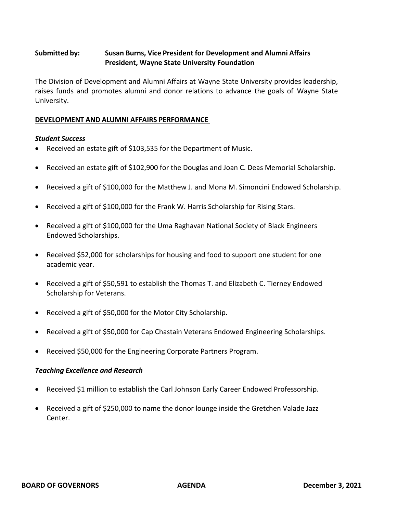# **Submitted by: Susan Burns, Vice President for Development and Alumni Affairs President, Wayne State University Foundation**

The Division of Development and Alumni Affairs at Wayne State University provides leadership, raises funds and promotes alumni and donor relations to advance the goals of Wayne State University.

## **DEVELOPMENT AND ALUMNI AFFAIRS PERFORMANCE**

#### *Student Success*

- Received an estate gift of \$103,535 for the Department of Music.
- Received an estate gift of \$102,900 for the Douglas and Joan C. Deas Memorial Scholarship.
- Received a gift of \$100,000 for the Matthew J. and Mona M. Simoncini Endowed Scholarship.
- Received a gift of \$100,000 for the Frank W. Harris Scholarship for Rising Stars.
- Received a gift of \$100,000 for the Uma Raghavan National Society of Black Engineers Endowed Scholarships.
- Received \$52,000 for scholarships for housing and food to support one student for one academic year.
- Received a gift of \$50,591 to establish the Thomas T. and Elizabeth C. Tierney Endowed Scholarship for Veterans.
- Received a gift of \$50,000 for the Motor City Scholarship.
- Received a gift of \$50,000 for Cap Chastain Veterans Endowed Engineering Scholarships.
- Received \$50,000 for the Engineering Corporate Partners Program.

### *Teaching Excellence and Research*

- Received \$1 million to establish the Carl Johnson Early Career Endowed Professorship.
- Received a gift of \$250,000 to name the donor lounge inside the Gretchen Valade Jazz Center.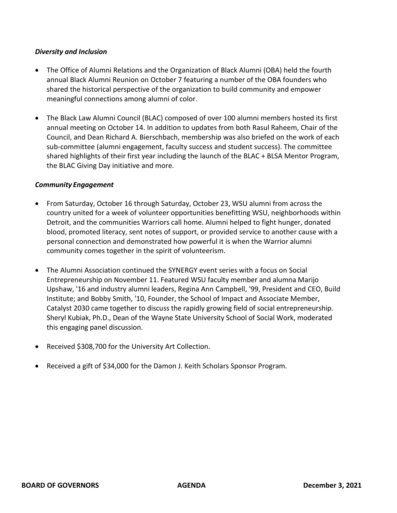### *Diversity and Inclusion*

- The Office of Alumni Relations and the Organization of Black Alumni (OBA) held the fourth annual Black Alumni Reunion on October 7 featuring a number of the OBA founders who shared the historical perspective of the organization to build community and empower meaningful connections among alumni of color.
- The Black Law Alumni Council (BLAC) composed of over 100 alumni members hosted its first annual meeting on October 14. In addition to updates from both Rasul Raheem, Chair of the Council, and Dean Richard A. Bierschbach, membership was also briefed on the work of each sub-committee (alumni engagement, faculty success and student success). The committee shared highlights of their first year including the launch of the BLAC + BLSA Mentor Program, the BLAC Giving Day initiative and more.

### *Community Engagement*

- From Saturday, October 16 through Saturday, October 23, WSU alumni from across the country united for a week of volunteer opportunities benefitting WSU, neighborhoods within Detroit, and the communities Warriors call home. Alumni helped to fight hunger, donated blood, promoted literacy, sent notes of support, or provided service to another cause with a personal connection and demonstrated how powerful it is when the Warrior alumni community comes together in the spirit of volunteerism.
- The Alumni Association continued the SYNERGY event series with a focus on Social Entrepreneurship on November 11. Featured WSU faculty member and alumna Marijo Upshaw, '16 and industry alumni leaders, Regina Ann Campbell, '99, President and CEO, Build Institute; and Bobby Smith, '10, Founder, the School of Impact and Associate Member, Catalyst 2030 came together to discuss the rapidly growing field of social entrepreneurship. Sheryl Kubiak, Ph.D., Dean of the Wayne State University School of Social Work, moderated this engaging panel discussion.
- Received \$308,700 for the University Art Collection.
- Received a gift of \$34,000 for the Damon J. Keith Scholars Sponsor Program.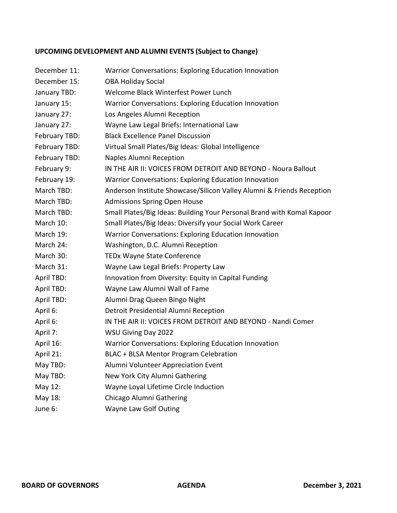# **UPCOMING DEVELOPMENT AND ALUMNI EVENTS (Subject to Change)**

| December 11:  | Warrior Conversations: Exploring Education Innovation                  |  |  |
|---------------|------------------------------------------------------------------------|--|--|
| December 15:  | <b>OBA Holiday Social</b>                                              |  |  |
| January TBD:  | Welcome Black Winterfest Power Lunch                                   |  |  |
| January 15:   | Warrior Conversations: Exploring Education Innovation                  |  |  |
| January 27:   | Los Angeles Alumni Reception                                           |  |  |
| January 27:   | Wayne Law Legal Briefs: International Law                              |  |  |
| February TBD: | <b>Black Excellence Panel Discussion</b>                               |  |  |
| February TBD: | Virtual Small Plates/Big Ideas: Global Intelligence                    |  |  |
| February TBD: | Naples Alumni Reception                                                |  |  |
| February 9:   | IN THE AIR II: VOICES FROM DETROIT AND BEYOND - Noura Ballout          |  |  |
| February 19:  | Warrior Conversations: Exploring Education Innovation                  |  |  |
| March TBD:    | Anderson Institute Showcase/Silicon Valley Alumni & Friends Reception  |  |  |
| March TBD:    | <b>Admissions Spring Open House</b>                                    |  |  |
| March TBD:    | Small Plates/Big Ideas: Building Your Personal Brand with Komal Kapoor |  |  |
| March 10:     | Small Plates/Big Ideas: Diversify your Social Work Career              |  |  |
| March 19:     | Warrior Conversations: Exploring Education Innovation                  |  |  |
| March 24:     | Washington, D.C. Alumni Reception                                      |  |  |
| March 30:     | <b>TEDx Wayne State Conference</b>                                     |  |  |
| March 31:     | Wayne Law Legal Briefs: Property Law                                   |  |  |
| April TBD:    | Innovation from Diversity: Equity in Capital Funding                   |  |  |
| April TBD:    | Wayne Law Alumni Wall of Fame                                          |  |  |
| April TBD:    | Alumni Drag Queen Bingo Night                                          |  |  |
| April 6:      | Detroit Presidential Alumni Reception                                  |  |  |
| April 6:      | IN THE AIR II: VOICES FROM DETROIT AND BEYOND - Nandi Comer            |  |  |
| April 7:      | WSU Giving Day 2022                                                    |  |  |
| April 16:     | Warrior Conversations: Exploring Education Innovation                  |  |  |
| April 21:     | <b>BLAC + BLSA Mentor Program Celebration</b>                          |  |  |
| May TBD:      | Alumni Volunteer Appreciation Event                                    |  |  |
| May TBD:      | New York City Alumni Gathering                                         |  |  |
| May 12:       | Wayne Loyal Lifetime Circle Induction                                  |  |  |
| May 18:       | Chicago Alumni Gathering                                               |  |  |
| June 6:       | Wayne Law Golf Outing                                                  |  |  |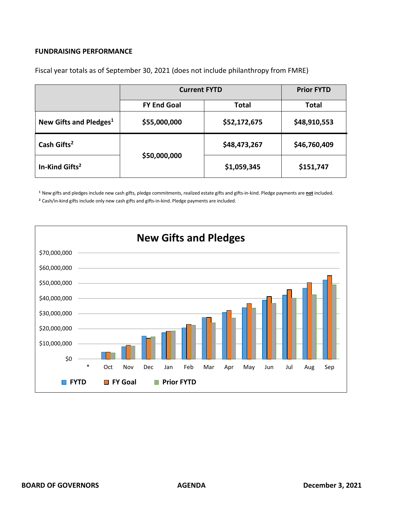#### **FUNDRAISING PERFORMANCE**

|                                    | <b>Current FYTD</b> |              | <b>Prior FYTD</b> |
|------------------------------------|---------------------|--------------|-------------------|
|                                    | <b>FY End Goal</b>  | <b>Total</b> | <b>Total</b>      |
| New Gifts and Pledges <sup>1</sup> | \$55,000,000        | \$52,172,675 | \$48,910,553      |
| Cash Gifts <sup>2</sup>            | \$50,000,000        | \$48,473,267 | \$46,760,409      |
| In-Kind Gifts <sup>2</sup>         |                     | \$1,059,345  | \$151,747         |

Fiscal year totals as of September 30, 2021 (does not include philanthropy from FMRE)

**<sup>1</sup>**New gifts and pledges include new cash gifts, pledge commitments, realized estate gifts and gifts-in-kind. Pledge payments are **not** included.

**<sup>2</sup>**Cash/in-kind gifts include only new cash gifts and gifts-in-kind. Pledge payments are included.